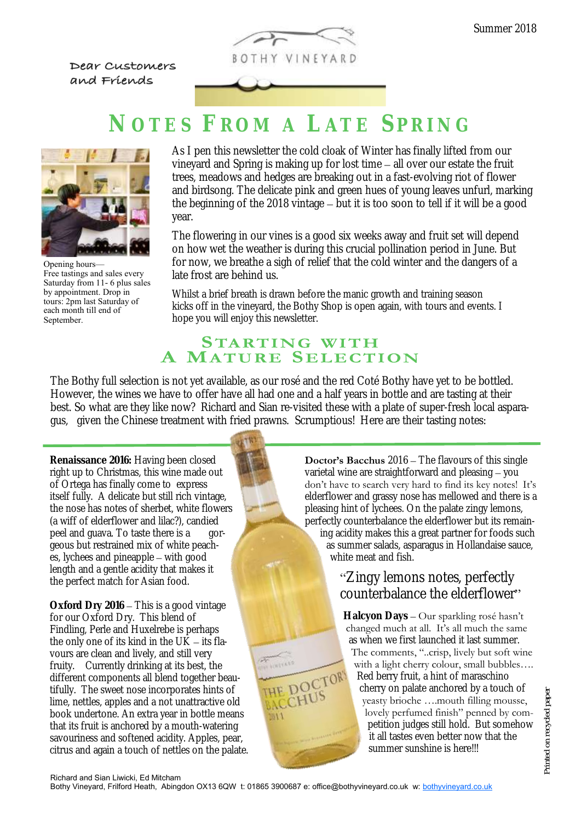

Dear Customers and Friends

# **N O T E S F R O M A L A T E S P R I N G**



Opening hours— Free tastings and sales every Saturday from 11- 6 plus sales by appointment. Drop in tours: 2pm last Saturday of each month till end of September.

As I pen this newsletter the cold cloak of Winter has finally lifted from our vineyard and Spring is making up for lost time – all over our estate the fruit trees, meadows and hedges are breaking out in a fast-evolving riot of flower and birdsong. The delicate pink and green hues of young leaves unfurl, marking the beginning of the 2018 vintage – but it is too soon to tell if it will be a good year.

The flowering in our vines is a good six weeks away and fruit set will depend on how wet the weather is during this crucial pollination period in June. But for now, we breathe a sigh of relief that the cold winter and the dangers of a late frost are behind us.

Whilst a brief breath is drawn before the manic growth and training season kicks off in the vineyard, the Bothy Shop is open again, with tours and events. I hope you will enjoy this newsletter.

### **STARTING WITH MATURE SELECTION**

The Bothy full selection is not yet available, as our rosé and the red Coté Bothy have yet to be bottled. However, the wines we have to offer have all had one and a half years in bottle and are tasting at their best. So what are they like now? Richard and Sian re-visited these with a plate of super-fresh local asparagus, given the Chinese treatment with fried prawns. Scrumptious! Here are their tasting notes:

**Renaissance 2016:** Having been closed right up to Christmas, this wine made out of Ortega has finally come to express itself fully. A delicate but still rich vintage, the nose has notes of sherbet, white flowers (a wiff of elderflower and lilac?), candied peel and guava. To taste there is a gorgeous but restrained mix of white peaches, lychees and pineapple – with good length and a gentle acidity that makes it the perfect match for Asian food.

**Oxford Dry 2016** – This is a good vintage for our Oxford Dry. This blend of Findling, Perle and Huxelrebe is perhaps the only one of its kind in the  $UK - its flat$ vours are clean and lively, and still very fruity. Currently drinking at its best, the different components all blend together beautifully. The sweet nose incorporates hints of lime, nettles, apples and a not unattractive old book undertone. An extra year in bottle means that its fruit is anchored by a mouth-watering savouriness and softened acidity. Apples, pear, citrus and again a touch of nettles on the palate. **Doctor's Bacchus** 2016 – The flavours of this single varietal wine are straightforward and pleasing – you don't have to search very hard to find its key notes! It's elderflower and grassy nose has mellowed and there is a pleasing hint of lychees. On the palate zingy lemons, perfectly counterbalance the elderflower but its remaining acidity makes this a great partner for foods such as summer salads, asparagus in Hollandaise sauce, white meat and fish.

### "Zingy lemons notes, perfectly counterbalance the elderflower"

**Halcyon Days** – Our sparkling rosé hasn't changed much at all. It's all much the same as when we first launched it last summer. The comments, "..crisp, lively but soft wine with a light cherry colour, small bubbles.... Red berry fruit, a hint of maraschino cherry on palate anchored by a touch of yeasty brioche ….mouth filling mousse, lovely perfumed finish" penned by competition judges still hold. But somehow it all tastes even better now that the summer sunshine is here!!!

**MA**